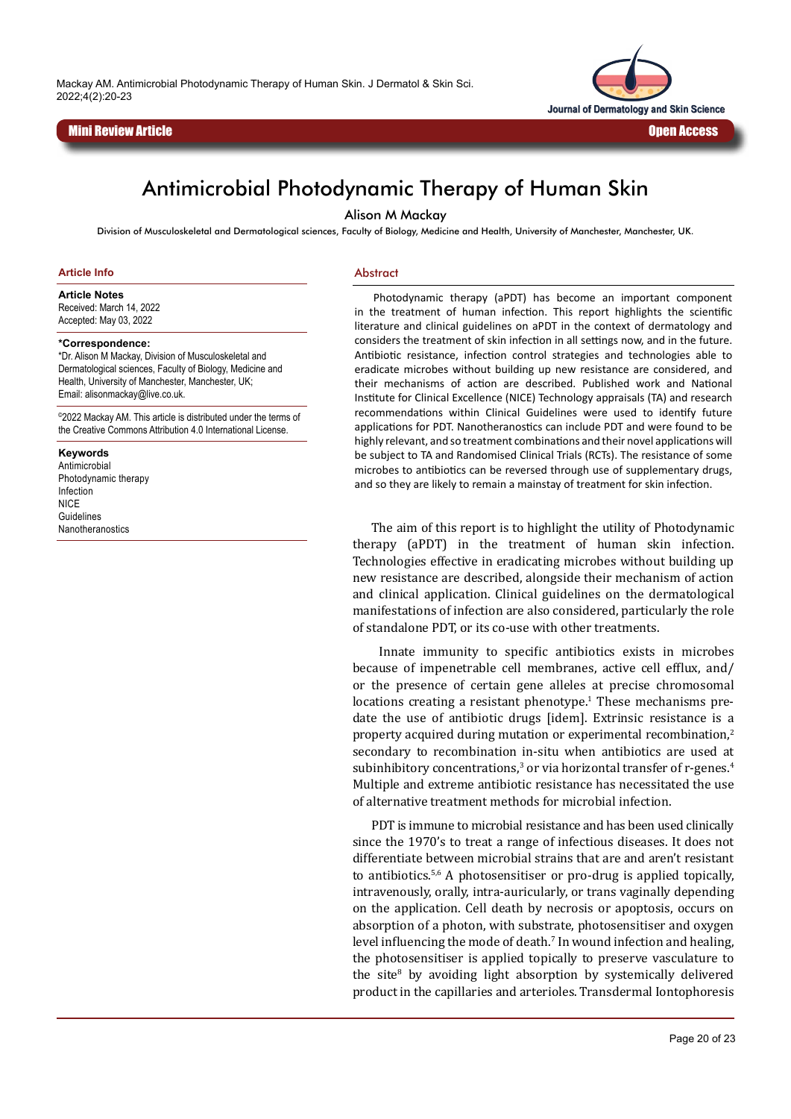Mackay AM. Antimicrobial Photodynamic Therapy of Human Skin. J Dermatol & Skin Sci. 2022;4(2):20-23





# Antimicrobial Photodynamic Therapy of Human Skin

Alison M Mackay

Division of Musculoskeletal and Dermatological sciences, Faculty of Biology, Medicine and Health, University of Manchester, Manchester, UK.

#### **Article Info**

**Article Notes**

Received: March 14, 2022 Accepted: May 03, 2022

#### **\*Correspondence:**

\*Dr. Alison M Mackay, Division of Musculoskeletal and Dermatological sciences, Faculty of Biology, Medicine and Health, University of Manchester, Manchester, UK; Email: alisonmackay@live.co.uk.

©2022 Mackay AM. This article is distributed under the terms of the Creative Commons Attribution 4.0 International License.

#### **Keywords**

Antimicrobial Photodynamic therapy Infection **NICE** Guidelines Nanotheranostics

#### Abstract

Photodynamic therapy (aPDT) has become an important component in the treatment of human infection. This report highlights the scientific literature and clinical guidelines on aPDT in the context of dermatology and considers the treatment of skin infection in all settings now, and in the future. Antibiotic resistance, infection control strategies and technologies able to eradicate microbes without building up new resistance are considered, and their mechanisms of action are described. Published work and National Institute for Clinical Excellence (NICE) Technology appraisals (TA) and research recommendations within Clinical Guidelines were used to identify future applications for PDT. Nanotheranostics can include PDT and were found to be highly relevant, and so treatment combinations and their novel applications will be subject to TA and Randomised Clinical Trials (RCTs). The resistance of some microbes to antibiotics can be reversed through use of supplementary drugs, and so they are likely to remain a mainstay of treatment for skin infection.

The aim of this report is to highlight the utility of Photodynamic therapy (aPDT) in the treatment of human skin infection. Technologies effective in eradicating microbes without building up new resistance are described, alongside their mechanism of action and clinical application. Clinical guidelines on the dermatological manifestations of infection are also considered, particularly the role of standalone PDT, or its co-use with other treatments.

 Innate immunity to specific antibiotics exists in microbes because of impenetrable cell membranes, active cell efflux, and/ or the presence of certain gene alleles at precise chromosomal locations creating a resistant phenotype.<sup>1</sup> These mechanisms predate the use of antibiotic drugs [idem]. Extrinsic resistance is a property acquired during mutation or experimental recombination,<sup>2</sup> secondary to recombination in-situ when antibiotics are used at subinhibitory concentrations,<sup>3</sup> or via horizontal transfer of r-genes.<sup>4</sup> Multiple and extreme antibiotic resistance has necessitated the use of alternative treatment methods for microbial infection.

PDT is immune to microbial resistance and has been used clinically since the 1970's to treat a range of infectious diseases. It does not differentiate between microbial strains that are and aren't resistant to antibiotics.<sup>5,6</sup> A photosensitiser or pro-drug is applied topically, intravenously, orally, intra-auricularly, or trans vaginally depending on the application. Cell death by necrosis or apoptosis, occurs on absorption of a photon, with substrate, photosensitiser and oxygen level influencing the mode of death. $\frac{7}{1}$  In wound infection and healing, the photosensitiser is applied topically to preserve vasculature to the site<sup>8</sup> by avoiding light absorption by systemically delivered product in the capillaries and arterioles. Transdermal Iontophoresis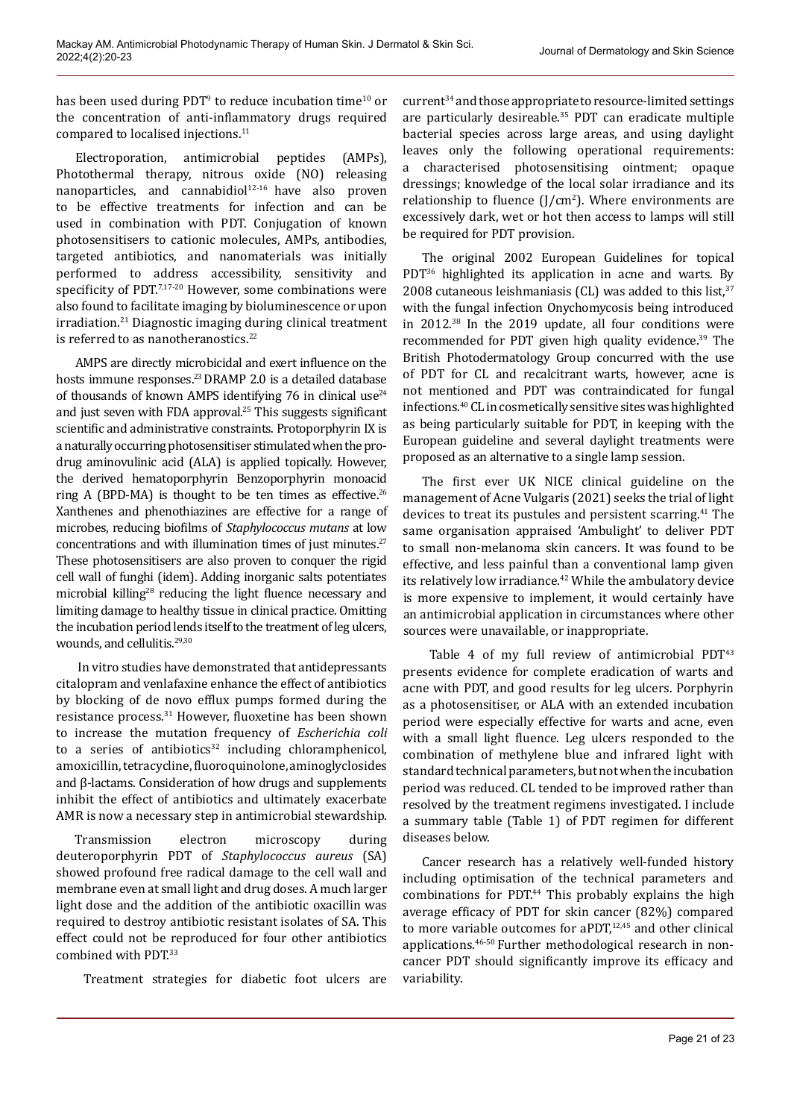has been used during PDT<sup>9</sup> to reduce incubation time<sup>10</sup> or the concentration of anti-inflammatory drugs required compared to localised injections.11

Electroporation, antimicrobial peptides (AMPs), Photothermal therapy, nitrous oxide (NO) releasing nanoparticles, and cannabidio $1^{12 \cdot 16}$  have also proven to be effective treatments for infection and can be used in combination with PDT. Conjugation of known photosensitisers to cationic molecules, AMPs, antibodies, targeted antibiotics, and nanomaterials was initially performed to address accessibility, sensitivity and specificity of PDT.<sup>7,17-20</sup> However, some combinations were also found to facilitate imaging by bioluminescence or upon irradiation.21 Diagnostic imaging during clinical treatment is referred to as nanotheranostics.<sup>22</sup>

AMPS are directly microbicidal and exert influence on the hosts immune responses.<sup>23</sup> DRAMP 2.0 is a detailed database of thousands of known AMPS identifying 76 in clinical use $24$ and just seven with FDA approval.25 This suggests significant scientific and administrative constraints. Protoporphyrin IX is a naturally occurring photosensitiser stimulated when the prodrug aminovulinic acid (ALA) is applied topically. However, the derived hematoporphyrin Benzoporphyrin monoacid ring A (BPD-MA) is thought to be ten times as effective.<sup>26</sup> Xanthenes and phenothiazines are effective for a range of microbes, reducing biofilms of *Staphylococcus mutans* at low concentrations and with illumination times of just minutes.<sup>27</sup> These photosensitisers are also proven to conquer the rigid cell wall of funghi (idem). Adding inorganic salts potentiates microbial killing<sup>28</sup> reducing the light fluence necessary and limiting damage to healthy tissue in clinical practice. Omitting the incubation period lends itself to the treatment of leg ulcers, wounds, and cellulitis.<sup>29,30</sup>

 In vitro studies have demonstrated that antidepressants citalopram and venlafaxine enhance the effect of antibiotics by blocking of de novo efflux pumps formed during the resistance process.31 However, fluoxetine has been shown to increase the mutation frequency of *Escherichia coli* to a series of antibiotics<sup>32</sup> including chloramphenicol, amoxicillin, tetracycline, fluoroquinolone, aminoglyclosides and β-lactams. Consideration of how drugs and supplements inhibit the effect of antibiotics and ultimately exacerbate AMR is now a necessary step in antimicrobial stewardship.

Transmission electron microscopy during deuteroporphyrin PDT of *Staphylococcus aureus* (SA) showed profound free radical damage to the cell wall and membrane even at small light and drug doses. A much larger light dose and the addition of the antibiotic oxacillin was required to destroy antibiotic resistant isolates of SA. This effect could not be reproduced for four other antibiotics combined with PDT.<sup>33</sup>

Treatment strategies for diabetic foot ulcers are

current34 and those appropriate to resource-limited settings are particularly desireable.35 PDT can eradicate multiple bacterial species across large areas, and using daylight leaves only the following operational requirements: a characterised photosensitising ointment; opaque dressings; knowledge of the local solar irradiance and its relationship to fluence  $(J/cm<sup>2</sup>)$ . Where environments are excessively dark, wet or hot then access to lamps will still be required for PDT provision.

The original 2002 European Guidelines for topical PDT<sup>36</sup> highlighted its application in acne and warts. By 2008 cutaneous leishmaniasis (CL) was added to this list, $37$ with the fungal infection Onychomycosis being introduced in 2012.38 In the 2019 update, all four conditions were recommended for PDT given high quality evidence.<sup>39</sup> The British Photodermatology Group concurred with the use of PDT for CL and recalcitrant warts, however, acne is not mentioned and PDT was contraindicated for fungal infections.40 CL in cosmetically sensitive sites was highlighted as being particularly suitable for PDT, in keeping with the European guideline and several daylight treatments were proposed as an alternative to a single lamp session.

The first ever UK NICE clinical guideline on the management of Acne Vulgaris (2021) seeks the trial of light devices to treat its pustules and persistent scarring.<sup>41</sup> The same organisation appraised 'Ambulight' to deliver PDT to small non-melanoma skin cancers. It was found to be effective, and less painful than a conventional lamp given its relatively low irradiance.<sup>42</sup> While the ambulatory device is more expensive to implement, it would certainly have an antimicrobial application in circumstances where other sources were unavailable, or inappropriate.

Table 4 of my full review of antimicrobial  $PDT^{43}$ presents evidence for complete eradication of warts and acne with PDT, and good results for leg ulcers. Porphyrin as a photosensitiser, or ALA with an extended incubation period were especially effective for warts and acne, even with a small light fluence. Leg ulcers responded to the combination of methylene blue and infrared light with standard technical parameters, but not when the incubation period was reduced. CL tended to be improved rather than resolved by the treatment regimens investigated. I include a summary table (Table 1) of PDT regimen for different diseases below.

Cancer research has a relatively well-funded history including optimisation of the technical parameters and combinations for PDT.<sup>44</sup> This probably explains the high average efficacy of PDT for skin cancer (82%) compared to more variable outcomes for aPDT, $12,45$  and other clinical applications.46-50 Further methodological research in noncancer PDT should significantly improve its efficacy and variability.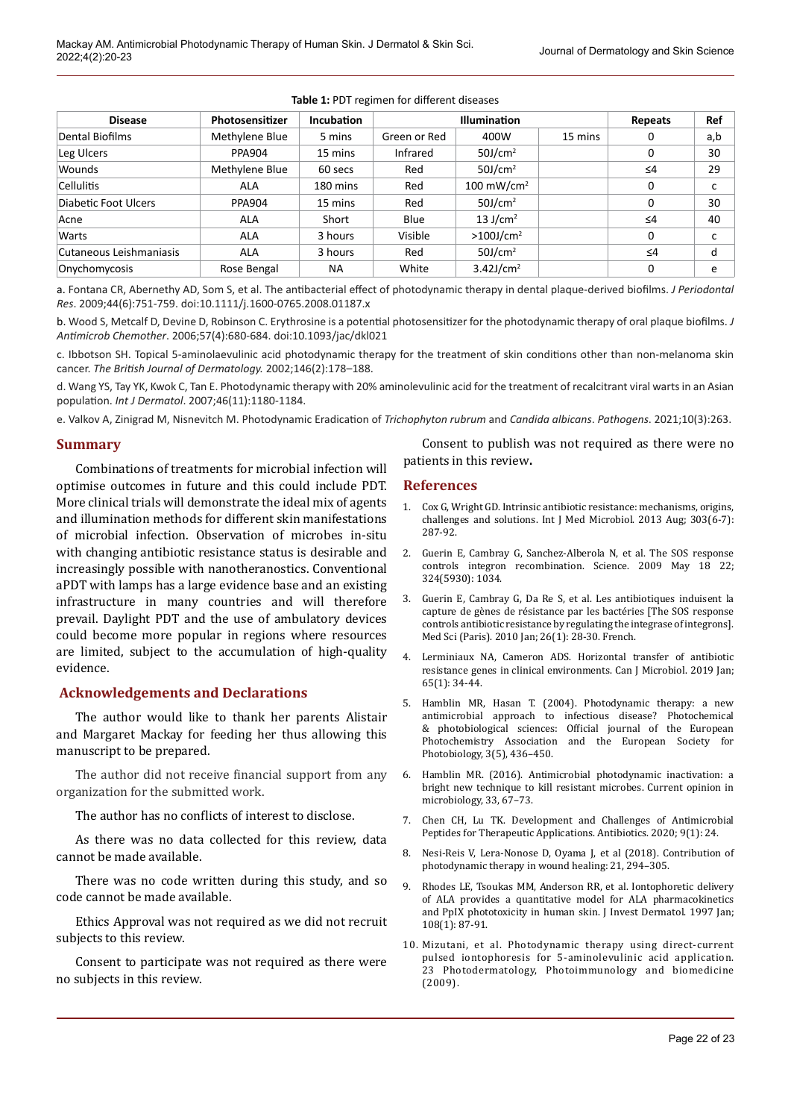| <b>Disease</b><br>Dental Biofilms | Photosensitizer<br>Methylene Blue | <b>Incubation</b><br>5 mins | <b>Illumination</b> |                          |         | Repeats  | Ref |
|-----------------------------------|-----------------------------------|-----------------------------|---------------------|--------------------------|---------|----------|-----|
|                                   |                                   |                             | Green or Red        | 400W                     | 15 mins | 0        | a,b |
| Leg Ulcers                        | <b>PPA904</b>                     | 15 mins                     | Infrared            | $50$ J/cm <sup>2</sup>   |         | 0        | 30  |
| Wounds                            | Methylene Blue                    | 60 secs                     | Red                 | $50$ J/cm <sup>2</sup>   |         | $\leq 4$ | 29  |
| <b>Cellulitis</b>                 | ALA                               | 180 mins                    | Red                 | $100 \text{ mW/cm}^2$    |         | 0        | с   |
| Diabetic Foot Ulcers              | <b>PPA904</b>                     | 15 mins                     | Red                 | $50$ J/cm <sup>2</sup>   |         | 0        | 30  |
| Acne                              | <b>ALA</b>                        | Short                       | Blue                | 13 J/cm <sup>2</sup>     |         | $\leq 4$ | 40  |
| Warts                             | <b>ALA</b>                        | 3 hours                     | Visible             | $>100$ J/cm <sup>2</sup> |         | 0        | c   |
| Cutaneous Leishmaniasis           | <b>ALA</b>                        | 3 hours                     | Red                 | $50$ J/cm <sup>2</sup>   |         | $\leq 4$ | d   |
| Onychomycosis                     | Rose Bengal                       | <b>NA</b>                   | White               | $3.42$ J/cm <sup>2</sup> |         | 0        | e   |

#### **Table 1:** PDT regimen for different diseases

a. Fontana CR, Abernethy AD, Som S, et al. The antibacterial effect of photodynamic therapy in dental plaque-derived biofilms. *J Periodontal Res*. 2009;44(6):751-759. doi:10.1111/j.1600-0765.2008.01187.x

b. Wood S, Metcalf D, Devine D, Robinson C. Erythrosine is a potential photosensitizer for the photodynamic therapy of oral plaque biofilms. *J Antimicrob Chemother*. 2006;57(4):680-684. doi:10.1093/jac/dkl021

c. Ibbotson SH. Topical 5-aminolaevulinic acid photodynamic therapy for the treatment of skin conditions other than non-melanoma skin cancer. *The British Journal of Dermatology.* 2002;146(2):178–188.

d. Wang YS, Tay YK, Kwok C, Tan E. Photodynamic therapy with 20% aminolevulinic acid for the treatment of recalcitrant viral warts in an Asian population. *Int J Dermatol*. 2007;46(11):1180-1184.

e. Valkov A, Zinigrad M, Nisnevitch M. Photodynamic Eradication of *Trichophyton rubrum* and *Candida albicans*. *Pathogens*. 2021;10(3):263.

## **Summary**

Combinations of treatments for microbial infection will optimise outcomes in future and this could include PDT. More clinical trials will demonstrate the ideal mix of agents and illumination methods for different skin manifestations of microbial infection. Observation of microbes in-situ with changing antibiotic resistance status is desirable and increasingly possible with nanotheranostics. Conventional aPDT with lamps has a large evidence base and an existing infrastructure in many countries and will therefore prevail. Daylight PDT and the use of ambulatory devices could become more popular in regions where resources are limited, subject to the accumulation of high-quality evidence.

## **Acknowledgements and Declarations**

The author would like to thank her parents Alistair and Margaret Mackay for feeding her thus allowing this manuscript to be prepared.

The author did not receive financial support from any organization for the submitted work.

The author has no conflicts of interest to disclose.

As there was no data collected for this review, data cannot be made available.

There was no code written during this study, and so code cannot be made available.

Ethics Approval was not required as we did not recruit subjects to this review.

Consent to participate was not required as there were no subjects in this review.

Consent to publish was not required as there were no patients in this review**.**

## **References**

- 1. Cox G, Wright GD. Intrinsic antibiotic resistance: mechanisms, origins, challenges and solutions. Int J Med Microbiol. 2013 Aug; 303(6-7): 287-92.
- 2. Guerin E, Cambray G, Sanchez-Alberola N, et al. The SOS response controls integron recombination. Science. 2009 May 18 22; 324(5930): 1034.
- 3. Guerin E, Cambray G, Da Re S, et al. Les antibiotiques induisent la capture de gènes de résistance par les bactéries [The SOS response controls antibiotic resistance by regulating the integrase of integrons]. Med Sci (Paris). 2010 Jan; 26(1): 28-30. French.
- 4. Lerminiaux NA, Cameron ADS. Horizontal transfer of antibiotic resistance genes in clinical environments. Can J Microbiol. 2019 Jan; 65(1): 34-44.
- 5. Hamblin MR, Hasan T. (2004). Photodynamic therapy: a new antimicrobial approach to infectious disease? Photochemical & photobiological sciences: Official journal of the European Photochemistry Association and the European Society for Photobiology, 3(5), 436–450.
- 6. Hamblin MR. (2016). Antimicrobial photodynamic inactivation: a bright new technique to kill resistant microbes. Current opinion in microbiology, 33, 67–73.
- 7. Chen CH, Lu TK. Development and Challenges of Antimicrobial Peptides for Therapeutic Applications. Antibiotics. 2020; 9(1): 24.
- 8. Nesi-Reis V, Lera-Nonose D, Oyama J, et al (2018). Contribution of photodynamic therapy in wound healing: 21, 294–305.
- 9. Rhodes LE, Tsoukas MM, Anderson RR, et al. Iontophoretic delivery of ALA provides a quantitative model for ALA pharmacokinetics and PpIX phototoxicity in human skin. J Invest Dermatol. 1997 Jan; 108(1): 87-91.
- 10. Mizutani, et al. Photodynamic therapy using direct-current pulsed iontophoresis for 5-aminolevulinic acid application. 23 Photodermatology, Photoimmunology and biomedicine (2009).